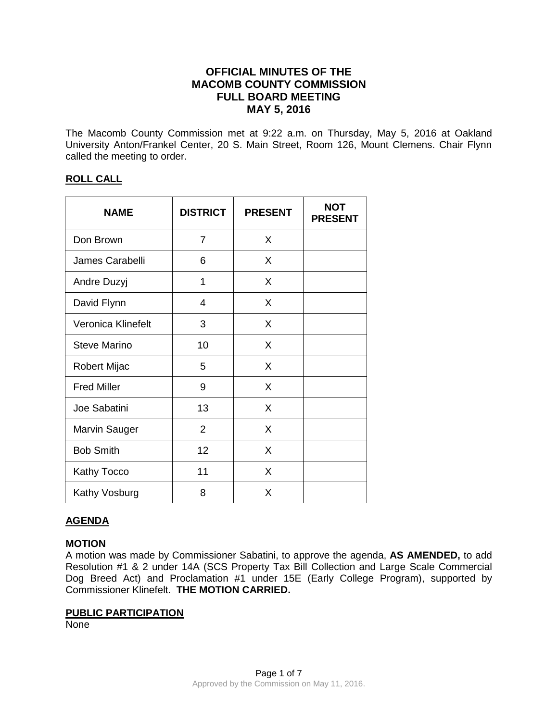# **OFFICIAL MINUTES OF THE MACOMB COUNTY COMMISSION FULL BOARD MEETING MAY 5, 2016**

The Macomb County Commission met at 9:22 a.m. on Thursday, May 5, 2016 at Oakland University Anton/Frankel Center, 20 S. Main Street, Room 126, Mount Clemens. Chair Flynn called the meeting to order.

## **ROLL CALL**

| <b>NAME</b>          | <b>DISTRICT</b> | <b>PRESENT</b> | <b>NOT</b><br><b>PRESENT</b> |
|----------------------|-----------------|----------------|------------------------------|
| Don Brown            | 7               | X              |                              |
| James Carabelli      | 6               | X              |                              |
| Andre Duzyj          | 1               | X              |                              |
| David Flynn          | 4               | X              |                              |
| Veronica Klinefelt   | 3               | X              |                              |
| <b>Steve Marino</b>  | 10              | X              |                              |
| <b>Robert Mijac</b>  | 5               | X              |                              |
| <b>Fred Miller</b>   | 9               | X              |                              |
| Joe Sabatini         | 13              | X              |                              |
| <b>Marvin Sauger</b> | $\overline{2}$  | X              |                              |
| <b>Bob Smith</b>     | 12              | X              |                              |
| <b>Kathy Tocco</b>   | 11              | X              |                              |
| Kathy Vosburg        | 8               | X              |                              |

## **AGENDA**

### **MOTION**

A motion was made by Commissioner Sabatini, to approve the agenda, **AS AMENDED,** to add Resolution #1 & 2 under 14A (SCS Property Tax Bill Collection and Large Scale Commercial Dog Breed Act) and Proclamation #1 under 15E (Early College Program), supported by Commissioner Klinefelt. **THE MOTION CARRIED.** 

## **PUBLIC PARTICIPATION**

None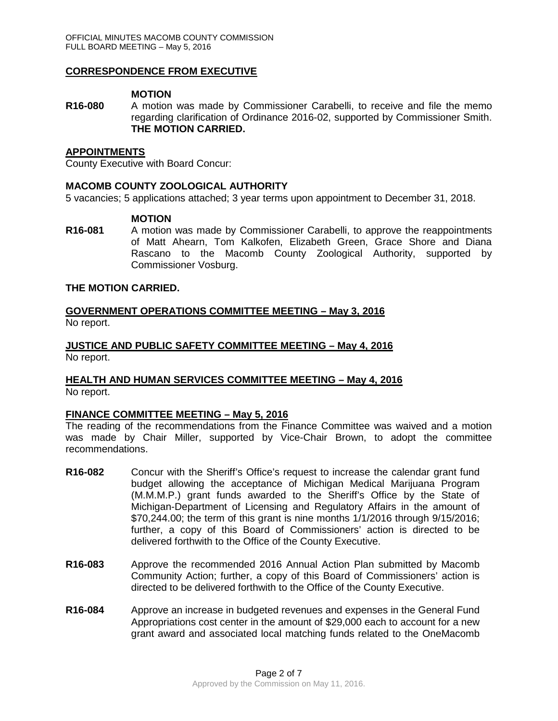### **CORRESPONDENCE FROM EXECUTIVE**

### **MOTION**

**R16-080** A motion was made by Commissioner Carabelli, to receive and file the memo regarding clarification of Ordinance 2016-02, supported by Commissioner Smith. **THE MOTION CARRIED.**

#### **APPOINTMENTS**

County Executive with Board Concur:

### **MACOMB COUNTY ZOOLOGICAL AUTHORITY**

5 vacancies; 5 applications attached; 3 year terms upon appointment to December 31, 2018.

### **MOTION**

**R16-081** A motion was made by Commissioner Carabelli, to approve the reappointments of Matt Ahearn, Tom Kalkofen, Elizabeth Green, Grace Shore and Diana Rascano to the Macomb County Zoological Authority, supported by Commissioner Vosburg.

### **THE MOTION CARRIED.**

## **GOVERNMENT OPERATIONS COMMITTEE MEETING – May 3, 2016** No report.

**JUSTICE AND PUBLIC SAFETY COMMITTEE MEETING – May 4, 2016** No report.

### **HEALTH AND HUMAN SERVICES COMMITTEE MEETING – May 4, 2016** No report.

### **FINANCE COMMITTEE MEETING – May 5, 2016**

The reading of the recommendations from the Finance Committee was waived and a motion was made by Chair Miller, supported by Vice-Chair Brown, to adopt the committee recommendations.

- **R16-082** Concur with the Sheriff's Office's request to increase the calendar grant fund budget allowing the acceptance of Michigan Medical Marijuana Program (M.M.M.P.) grant funds awarded to the Sheriff's Office by the State of Michigan-Department of Licensing and Regulatory Affairs in the amount of \$70,244.00; the term of this grant is nine months 1/1/2016 through 9/15/2016; further, a copy of this Board of Commissioners' action is directed to be delivered forthwith to the Office of the County Executive.
- **R16-083** Approve the recommended 2016 Annual Action Plan submitted by Macomb Community Action; further, a copy of this Board of Commissioners' action is directed to be delivered forthwith to the Office of the County Executive.
- **R16-084** Approve an increase in budgeted revenues and expenses in the General Fund Appropriations cost center in the amount of \$29,000 each to account for a new grant award and associated local matching funds related to the OneMacomb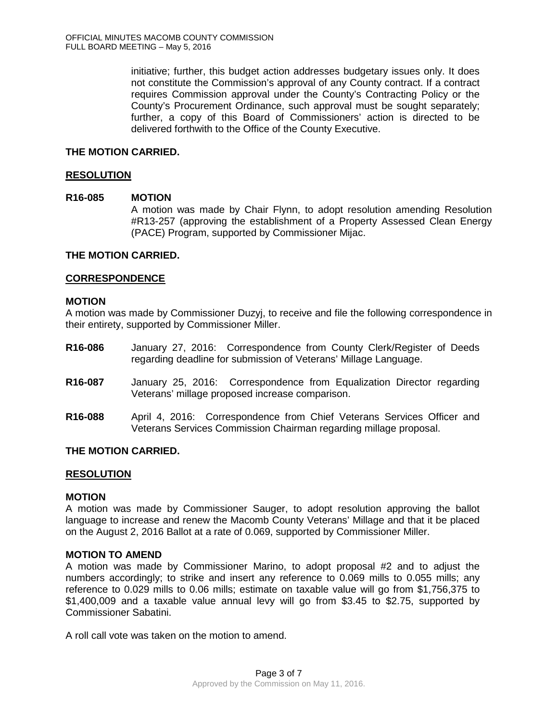initiative; further, this budget action addresses budgetary issues only. It does not constitute the Commission's approval of any County contract. If a contract requires Commission approval under the County's Contracting Policy or the County's Procurement Ordinance, such approval must be sought separately; further, a copy of this Board of Commissioners' action is directed to be delivered forthwith to the Office of the County Executive.

## **THE MOTION CARRIED.**

### **RESOLUTION**

### **R16-085 MOTION**

A motion was made by Chair Flynn, to adopt resolution amending Resolution #R13-257 (approving the establishment of a Property Assessed Clean Energy (PACE) Program, supported by Commissioner Mijac.

### **THE MOTION CARRIED.**

### **CORRESPONDENCE**

### **MOTION**

A motion was made by Commissioner Duzyj, to receive and file the following correspondence in their entirety, supported by Commissioner Miller.

- **R16-086** January 27, 2016: Correspondence from County Clerk/Register of Deeds regarding deadline for submission of Veterans' Millage Language.
- **R16-087** January 25, 2016: Correspondence from Equalization Director regarding Veterans' millage proposed increase comparison.
- **R16-088** April 4, 2016: Correspondence from Chief Veterans Services Officer and Veterans Services Commission Chairman regarding millage proposal.

# **THE MOTION CARRIED.**

### **RESOLUTION**

### **MOTION**

A motion was made by Commissioner Sauger, to adopt resolution approving the ballot language to increase and renew the Macomb County Veterans' Millage and that it be placed on the August 2, 2016 Ballot at a rate of 0.069, supported by Commissioner Miller.

### **MOTION TO AMEND**

A motion was made by Commissioner Marino, to adopt proposal #2 and to adjust the numbers accordingly; to strike and insert any reference to 0.069 mills to 0.055 mills; any reference to 0.029 mills to 0.06 mills; estimate on taxable value will go from \$1,756,375 to \$1,400,009 and a taxable value annual levy will go from \$3.45 to \$2.75, supported by Commissioner Sabatini.

A roll call vote was taken on the motion to amend.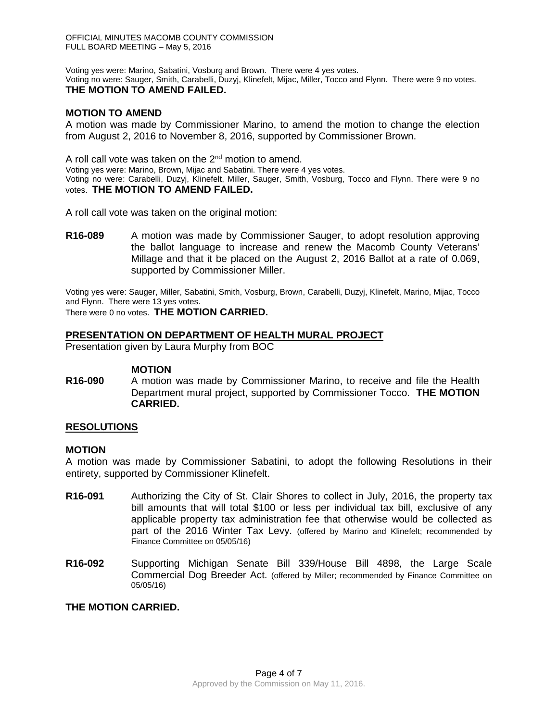Voting yes were: Marino, Sabatini, Vosburg and Brown. There were 4 yes votes. Voting no were: Sauger, Smith, Carabelli, Duzyj, Klinefelt, Mijac, Miller, Tocco and Flynn. There were 9 no votes. **THE MOTION TO AMEND FAILED.**

## **MOTION TO AMEND**

A motion was made by Commissioner Marino, to amend the motion to change the election from August 2, 2016 to November 8, 2016, supported by Commissioner Brown.

A roll call vote was taken on the  $2^{nd}$  motion to amend.

Voting yes were: Marino, Brown, Mijac and Sabatini. There were 4 yes votes.

Voting no were: Carabelli, Duzyj, Klinefelt, Miller, Sauger, Smith, Vosburg, Tocco and Flynn. There were 9 no votes. **THE MOTION TO AMEND FAILED.**

A roll call vote was taken on the original motion:

**R16-089** A motion was made by Commissioner Sauger, to adopt resolution approving the ballot language to increase and renew the Macomb County Veterans' Millage and that it be placed on the August 2, 2016 Ballot at a rate of 0.069, supported by Commissioner Miller.

Voting yes were: Sauger, Miller, Sabatini, Smith, Vosburg, Brown, Carabelli, Duzyj, Klinefelt, Marino, Mijac, Tocco and Flynn. There were 13 yes votes.

There were 0 no votes. **THE MOTION CARRIED.** 

### **PRESENTATION ON DEPARTMENT OF HEALTH MURAL PROJECT**

Presentation given by Laura Murphy from BOC

### **MOTION**

**R16-090** A motion was made by Commissioner Marino, to receive and file the Health Department mural project, supported by Commissioner Tocco. **THE MOTION CARRIED.**

### **RESOLUTIONS**

### **MOTION**

A motion was made by Commissioner Sabatini, to adopt the following Resolutions in their entirety, supported by Commissioner Klinefelt.

- **R16-091** Authorizing the City of St. Clair Shores to collect in July, 2016, the property tax bill amounts that will total \$100 or less per individual tax bill, exclusive of any applicable property tax administration fee that otherwise would be collected as part of the 2016 Winter Tax Levy. (offered by Marino and Klinefelt; recommended by Finance Committee on 05/05/16)
- **R16-092** Supporting Michigan Senate Bill 339/House Bill 4898, the Large Scale Commercial Dog Breeder Act. (offered by Miller; recommended by Finance Committee on 05/05/16)

### **THE MOTION CARRIED.**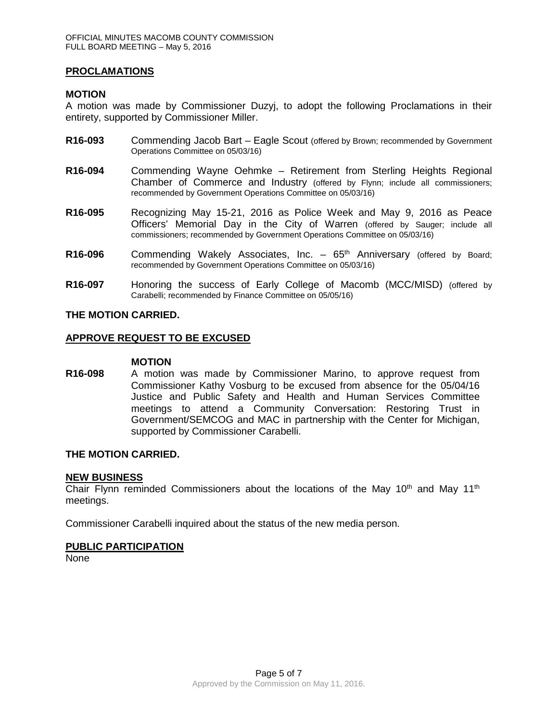### **PROCLAMATIONS**

### **MOTION**

A motion was made by Commissioner Duzyj, to adopt the following Proclamations in their entirety, supported by Commissioner Miller.

- **R16-093** Commending Jacob Bart Eagle Scout (offered by Brown; recommended by Government Operations Committee on 05/03/16)
- **R16-094** Commending Wayne Oehmke Retirement from Sterling Heights Regional Chamber of Commerce and Industry (offered by Flynn; include all commissioners; recommended by Government Operations Committee on 05/03/16)
- **R16-095** Recognizing May 15-21, 2016 as Police Week and May 9, 2016 as Peace Officers' Memorial Day in the City of Warren (offered by Sauger; include all commissioners; recommended by Government Operations Committee on 05/03/16)
- R16-096 Commending Wakely Associates, Inc. 65<sup>th</sup> Anniversary (offered by Board: recommended by Government Operations Committee on 05/03/16)
- **R16-097** Honoring the success of Early College of Macomb (MCC/MISD) (offered by Carabelli; recommended by Finance Committee on 05/05/16)

### **THE MOTION CARRIED.**

### **APPROVE REQUEST TO BE EXCUSED**

#### **MOTION**

**R16-098** A motion was made by Commissioner Marino, to approve request from Commissioner Kathy Vosburg to be excused from absence for the 05/04/16 Justice and Public Safety and Health and Human Services Committee meetings to attend a Community Conversation: Restoring Trust in Government/SEMCOG and MAC in partnership with the Center for Michigan, supported by Commissioner Carabelli.

### **THE MOTION CARRIED.**

### **NEW BUSINESS**

Chair Flynn reminded Commissioners about the locations of the May 10<sup>th</sup> and May 11<sup>th</sup> meetings.

Commissioner Carabelli inquired about the status of the new media person.

### **PUBLIC PARTICIPATION**

None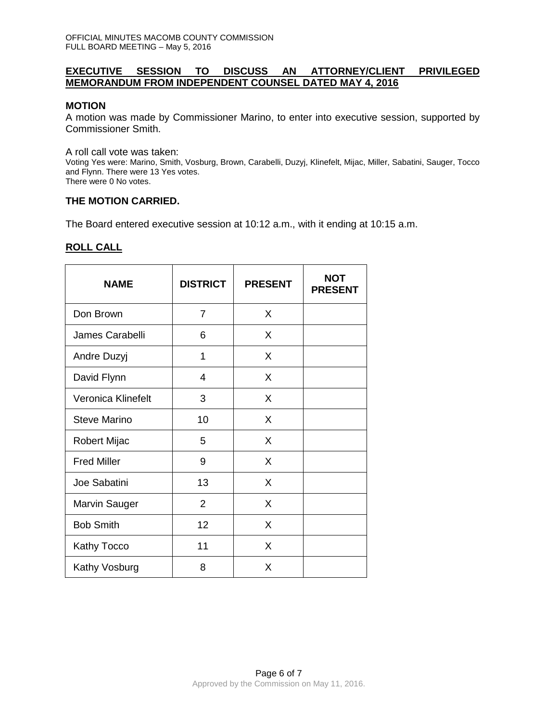### **EXECUTIVE SESSION TO DISCUSS AN ATTORNEY/CLIENT PRIVILEGED MEMORANDUM FROM INDEPENDENT COUNSEL DATED MAY 4, 2016**

## **MOTION**

A motion was made by Commissioner Marino, to enter into executive session, supported by Commissioner Smith.

A roll call vote was taken:

Voting Yes were: Marino, Smith, Vosburg, Brown, Carabelli, Duzyj, Klinefelt, Mijac, Miller, Sabatini, Sauger, Tocco and Flynn. There were 13 Yes votes. There were 0 No votes.

### **THE MOTION CARRIED.**

The Board entered executive session at 10:12 a.m., with it ending at 10:15 a.m.

## **ROLL CALL**

| <b>NAME</b>         | <b>DISTRICT</b> | <b>PRESENT</b> | <b>NOT</b><br><b>PRESENT</b> |
|---------------------|-----------------|----------------|------------------------------|
| Don Brown           | $\overline{7}$  | X              |                              |
| James Carabelli     | 6               | X              |                              |
| Andre Duzyj         | 1               | X              |                              |
| David Flynn         | 4               | X              |                              |
| Veronica Klinefelt  | 3               | X              |                              |
| <b>Steve Marino</b> | 10              | X              |                              |
| Robert Mijac        | 5               | X              |                              |
| <b>Fred Miller</b>  | 9               | X              |                              |
| Joe Sabatini        | 13              | X              |                              |
| Marvin Sauger       | $\overline{2}$  | X              |                              |
| <b>Bob Smith</b>    | 12              | X              |                              |
| Kathy Tocco         | 11              | X              |                              |
| Kathy Vosburg       | 8               | X              |                              |